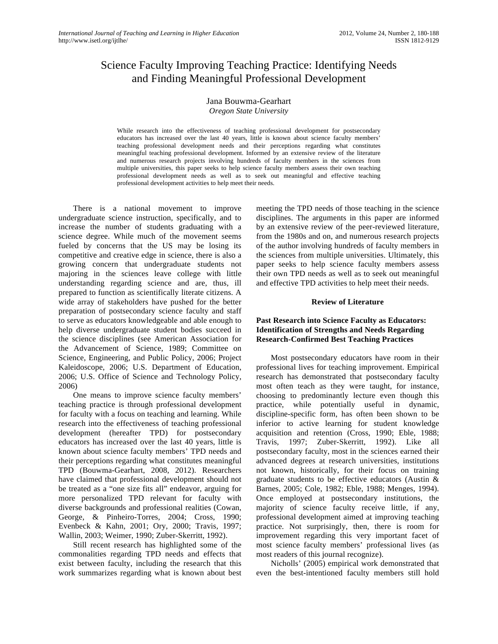# Science Faculty Improving Teaching Practice: Identifying Needs and Finding Meaningful Professional Development

# Jana Bouwma-Gearhart

*Oregon State University*

While research into the effectiveness of teaching professional development for postsecondary educators has increased over the last 40 years, little is known about science faculty members' teaching professional development needs and their perceptions regarding what constitutes meaningful teaching professional development. Informed by an extensive review of the literature and numerous research projects involving hundreds of faculty members in the sciences from multiple universities, this paper seeks to help science faculty members assess their own teaching professional development needs as well as to seek out meaningful and effective teaching professional development activities to help meet their needs.

There is a national movement to improve undergraduate science instruction, specifically, and to increase the number of students graduating with a science degree. While much of the movement seems fueled by concerns that the US may be losing its competitive and creative edge in science, there is also a growing concern that undergraduate students not majoring in the sciences leave college with little understanding regarding science and are, thus, ill prepared to function as scientifically literate citizens. A wide array of stakeholders have pushed for the better preparation of postsecondary science faculty and staff to serve as educators knowledgeable and able enough to help diverse undergraduate student bodies succeed in the science disciplines (see American Association for the Advancement of Science, 1989; Committee on Science, Engineering, and Public Policy, 2006; Project Kaleidoscope, 2006; U.S. Department of Education, 2006; U.S. Office of Science and Technology Policy, 2006)

One means to improve science faculty members' teaching practice is through professional development for faculty with a focus on teaching and learning. While research into the effectiveness of teaching professional development (hereafter TPD) for postsecondary educators has increased over the last 40 years, little is known about science faculty members' TPD needs and their perceptions regarding what constitutes meaningful TPD (Bouwma-Gearhart, 2008, 2012). Researchers have claimed that professional development should not be treated as a "one size fits all" endeavor, arguing for more personalized TPD relevant for faculty with diverse backgrounds and professional realities (Cowan, George, & Pinheiro-Torres, 2004; Cross, 1990; Evenbeck & Kahn, 2001; Ory, 2000; Travis, 1997; Wallin, 2003; Weimer, 1990; Zuber-Skerritt, 1992).

Still recent research has highlighted some of the commonalities regarding TPD needs and effects that exist between faculty, including the research that this work summarizes regarding what is known about best

meeting the TPD needs of those teaching in the science disciplines. The arguments in this paper are informed by an extensive review of the peer-reviewed literature, from the 1980s and on, and numerous research projects of the author involving hundreds of faculty members in the sciences from multiple universities. Ultimately, this paper seeks to help science faculty members assess their own TPD needs as well as to seek out meaningful and effective TPD activities to help meet their needs.

#### **Review of Literature**

#### **Past Research into Science Faculty as Educators: Identification of Strengths and Needs Regarding Research-Confirmed Best Teaching Practices**

Most postsecondary educators have room in their professional lives for teaching improvement. Empirical research has demonstrated that postsecondary faculty most often teach as they were taught, for instance, choosing to predominantly lecture even though this practice, while potentially useful in dynamic, discipline-specific form, has often been shown to be inferior to active learning for student knowledge acquisition and retention (Cross, 1990; Eble, 1988; Travis, 1997; Zuber-Skerritt, 1992). Like all postsecondary faculty, most in the sciences earned their advanced degrees at research universities, institutions not known, historically, for their focus on training graduate students to be effective educators (Austin & Barnes, 2005; Cole, 1982; Eble, 1988; Menges, 1994). Once employed at postsecondary institutions, the majority of science faculty receive little, if any, professional development aimed at improving teaching practice. Not surprisingly, then, there is room for improvement regarding this very important facet of most science faculty members' professional lives (as most readers of this journal recognize).

Nicholls' (2005) empirical work demonstrated that even the best-intentioned faculty members still hold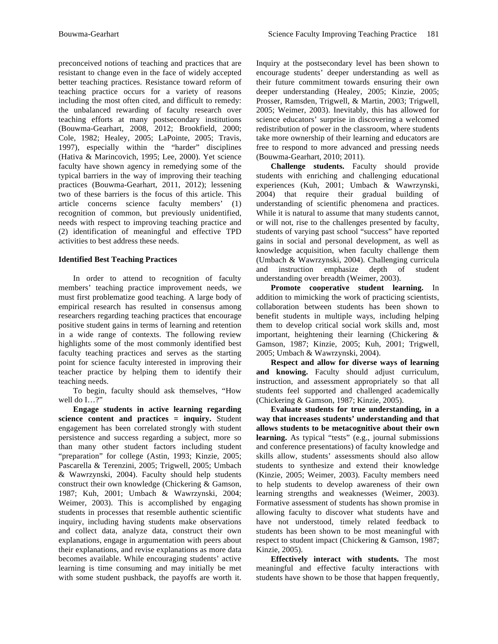preconceived notions of teaching and practices that are resistant to change even in the face of widely accepted better teaching practices. Resistance toward reform of teaching practice occurs for a variety of reasons including the most often cited, and difficult to remedy: the unbalanced rewarding of faculty research over teaching efforts at many postsecondary institutions (Bouwma-Gearhart, 2008, 2012; Brookfield, 2000; Cole, 1982; Healey, 2005; LaPointe, 2005; Travis, 1997), especially within the "harder" disciplines (Hativa & Marincovich, 1995; Lee, 2000). Yet science faculty have shown agency in remedying some of the typical barriers in the way of improving their teaching practices (Bouwma-Gearhart, 2011, 2012); lessening two of these barriers is the focus of this article. This article concerns science faculty members' (1) recognition of common, but previously unidentified, needs with respect to improving teaching practice and (2) identification of meaningful and effective TPD activities to best address these needs.

# **Identified Best Teaching Practices**

In order to attend to recognition of faculty members' teaching practice improvement needs, we must first problematize good teaching. A large body of empirical research has resulted in consensus among researchers regarding teaching practices that encourage positive student gains in terms of learning and retention in a wide range of contexts. The following review highlights some of the most commonly identified best faculty teaching practices and serves as the starting point for science faculty interested in improving their teacher practice by helping them to identify their teaching needs.

To begin, faculty should ask themselves, "How well do I...?"

**Engage students in active learning regarding science content and practices = inquiry.** Student engagement has been correlated strongly with student persistence and success regarding a subject, more so than many other student factors including student "preparation" for college (Astin, 1993; Kinzie, 2005; Pascarella & Terenzini, 2005; Trigwell, 2005; Umbach & Wawrzynski, 2004). Faculty should help students construct their own knowledge (Chickering & Gamson, 1987; Kuh, 2001; Umbach & Wawrzynski, 2004; Weimer, 2003). This is accomplished by engaging students in processes that resemble authentic scientific inquiry, including having students make observations and collect data, analyze data, construct their own explanations, engage in argumentation with peers about their explanations, and revise explanations as more data becomes available. While encouraging students' active learning is time consuming and may initially be met with some student pushback, the payoffs are worth it.

Inquiry at the postsecondary level has been shown to encourage students' deeper understanding as well as their future commitment towards ensuring their own deeper understanding (Healey, 2005; Kinzie, 2005; Prosser, Ramsden, Trigwell, & Martin, 2003; Trigwell, 2005; Weimer, 2003). Inevitably, this has allowed for science educators' surprise in discovering a welcomed redistribution of power in the classroom, where students take more ownership of their learning and educators are free to respond to more advanced and pressing needs (Bouwma-Gearhart, 2010; 2011).

**Challenge students.** Faculty should provide students with enriching and challenging educational experiences (Kuh, 2001; Umbach & Wawrzynski, 2004) that require their gradual building of understanding of scientific phenomena and practices. While it is natural to assume that many students cannot, or will not, rise to the challenges presented by faculty, students of varying past school "success" have reported gains in social and personal development, as well as knowledge acquisition, when faculty challenge them (Umbach & Wawrzynski, 2004). Challenging curricula and instruction emphasize depth of student understanding over breadth (Weimer, 2003).

**Promote cooperative student learning.** In addition to mimicking the work of practicing scientists, collaboration between students has been shown to benefit students in multiple ways, including helping them to develop critical social work skills and, most important, heightening their learning (Chickering & Gamson, 1987; Kinzie, 2005; Kuh, 2001; Trigwell, 2005; Umbach & Wawrzynski, 2004).

**Respect and allow for diverse ways of learning and knowing.** Faculty should adjust curriculum, instruction, and assessment appropriately so that all students feel supported and challenged academically (Chickering & Gamson, 1987; Kinzie, 2005).

**Evaluate students for true understanding, in a way that increases students' understanding and that allows students to be metacognitive about their own learning.** As typical "tests" (e.g., journal submissions and conference presentations) of faculty knowledge and skills allow, students' assessments should also allow students to synthesize and extend their knowledge (Kinzie, 2005; Weimer, 2003). Faculty members need to help students to develop awareness of their own learning strengths and weaknesses (Weimer, 2003). Formative assessment of students has shown promise in allowing faculty to discover what students have and have not understood, timely related feedback to students has been shown to be most meaningful with respect to student impact (Chickering & Gamson, 1987; Kinzie, 2005).

**Effectively interact with students.** The most meaningful and effective faculty interactions with students have shown to be those that happen frequently,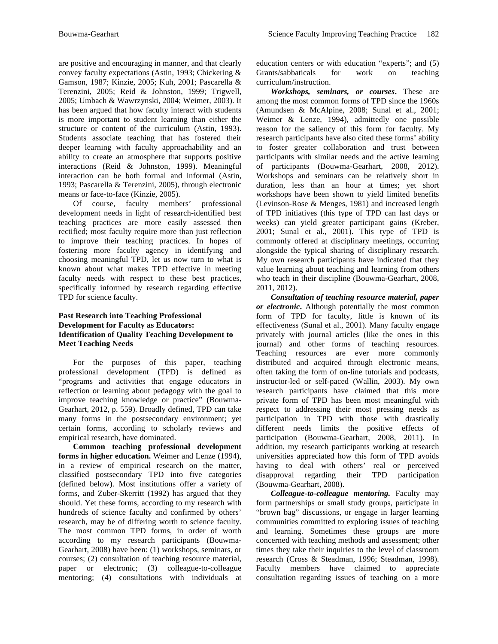are positive and encouraging in manner, and that clearly convey faculty expectations (Astin, 1993; Chickering & Gamson, 1987; Kinzie, 2005; Kuh, 2001; Pascarella & Terenzini, 2005; Reid & Johnston, 1999; Trigwell, 2005; Umbach & Wawrzynski, 2004; Weimer, 2003). It has been argued that how faculty interact with students is more important to student learning than either the structure or content of the curriculum (Astin, 1993). Students associate teaching that has fostered their deeper learning with faculty approachability and an ability to create an atmosphere that supports positive interactions (Reid & Johnston, 1999). Meaningful interaction can be both formal and informal (Astin, 1993; Pascarella & Terenzini, 2005), through electronic means or face-to-face (Kinzie, 2005).

Of course, faculty members' professional development needs in light of research-identified best teaching practices are more easily assessed then rectified; most faculty require more than just reflection to improve their teaching practices. In hopes of fostering more faculty agency in identifying and choosing meaningful TPD, let us now turn to what is known about what makes TPD effective in meeting faculty needs with respect to these best practices, specifically informed by research regarding effective TPD for science faculty.

## **Past Research into Teaching Professional Development for Faculty as Educators: Identification of Quality Teaching Development to Meet Teaching Needs**

For the purposes of this paper, teaching professional development (TPD) is defined as "programs and activities that engage educators in reflection or learning about pedagogy with the goal to improve teaching knowledge or practice" (Bouwma-Gearhart, 2012, p. 559). Broadly defined, TPD can take many forms in the postsecondary environment; yet certain forms, according to scholarly reviews and empirical research, have dominated.

**Common teaching professional development forms in higher education.** Weimer and Lenze (1994), in a review of empirical research on the matter, classified postsecondary TPD into five categories (defined below). Most institutions offer a variety of forms, and Zuber-Skerritt (1992) has argued that they should. Yet these forms, according to my research with hundreds of science faculty and confirmed by others' research, may be of differing worth to science faculty. The most common TPD forms, in order of worth according to my research participants (Bouwma-Gearhart, 2008) have been: (1) workshops, seminars, or courses; (2) consultation of teaching resource material, paper or electronic; (3) colleague-to-colleague mentoring; (4) consultations with individuals at education centers or with education "experts"; and (5) Grants/sabbaticals for work on teaching curriculum/instruction.

*Workshops, seminars, or courses***.** These are among the most common forms of TPD since the 1960s (Amundsen & McAlpine, 2008; Sunal et al., 2001; Weimer & Lenze, 1994), admittedly one possible reason for the saliency of this form for faculty. My research participants have also cited these forms' ability to foster greater collaboration and trust between participants with similar needs and the active learning of participants (Bouwma-Gearhart, 2008, 2012). Workshops and seminars can be relatively short in duration, less than an hour at times; yet short workshops have been shown to yield limited benefits (Levinson-Rose & Menges, 1981) and increased length of TPD initiatives (this type of TPD can last days or weeks) can yield greater participant gains (Kreber, 2001; Sunal et al., 2001). This type of TPD is commonly offered at disciplinary meetings, occurring alongside the typical sharing of disciplinary research. My own research participants have indicated that they value learning about teaching and learning from others who teach in their discipline (Bouwma-Gearhart, 2008, 2011, 2012).

*Consultation of teaching resource material, paper or electronic***.** Although potentially the most common form of TPD for faculty, little is known of its effectiveness (Sunal et al., 2001). Many faculty engage privately with journal articles (like the ones in this journal) and other forms of teaching resources. Teaching resources are ever more commonly distributed and acquired through electronic means, often taking the form of on-line tutorials and podcasts, instructor-led or self-paced (Wallin, 2003). My own research participants have claimed that this more private form of TPD has been most meaningful with respect to addressing their most pressing needs as participation in TPD with those with drastically different needs limits the positive effects of participation (Bouwma-Gearhart, 2008, 2011). In addition, my research participants working at research universities appreciated how this form of TPD avoids having to deal with others' real or perceived disapproval regarding their TPD participation (Bouwma-Gearhart, 2008).

*Colleague-to-colleague mentoring.* Faculty may form partnerships or small study groups, participate in "brown bag" discussions, or engage in larger learning communities committed to exploring issues of teaching and learning. Sometimes these groups are more concerned with teaching methods and assessment; other times they take their inquiries to the level of classroom research (Cross & Steadman, 1996; Steadman, 1998). Faculty members have claimed to appreciate consultation regarding issues of teaching on a more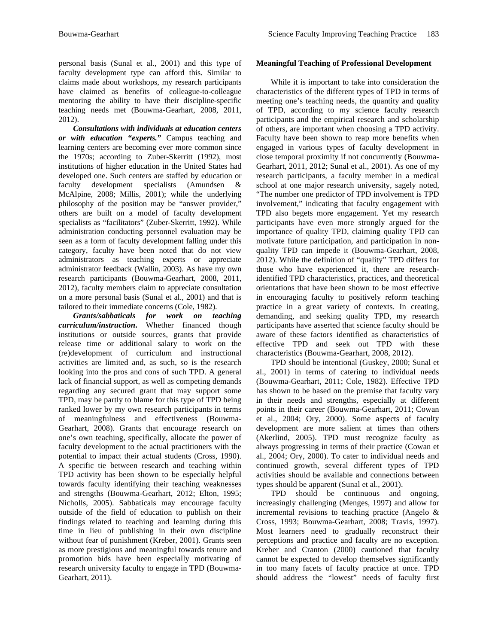personal basis (Sunal et al., 2001) and this type of faculty development type can afford this. Similar to claims made about workshops, my research participants have claimed as benefits of colleague-to-colleague mentoring the ability to have their discipline-specific teaching needs met (Bouwma-Gearhart, 2008, 2011, 2012).

*Consultations with individuals at education centers or with education "experts."* Campus teaching and learning centers are becoming ever more common since the 1970s; according to Zuber-Skerritt (1992), most institutions of higher education in the United States had developed one. Such centers are staffed by education or faculty development specialists (Amundsen & McAlpine, 2008; Millis, 2001); while the underlying philosophy of the position may be "answer provider," others are built on a model of faculty development specialists as "facilitators" (Zuber-Skerritt, 1992). While administration conducting personnel evaluation may be seen as a form of faculty development falling under this category, faculty have been noted that do not view administrators as teaching experts or appreciate administrator feedback (Wallin, 2003). As have my own research participants (Bouwma-Gearhart, 2008, 2011, 2012), faculty members claim to appreciate consultation on a more personal basis (Sunal et al., 2001) and that is tailored to their immediate concerns (Cole, 1982).

*Grants/sabbaticals for work on teaching curriculum/instruction***.** Whether financed though institutions or outside sources, grants that provide release time or additional salary to work on the (re)development of curriculum and instructional activities are limited and, as such, so is the research looking into the pros and cons of such TPD. A general lack of financial support, as well as competing demands regarding any secured grant that may support some TPD, may be partly to blame for this type of TPD being ranked lower by my own research participants in terms of meaningfulness and effectiveness (Bouwma-Gearhart, 2008). Grants that encourage research on one's own teaching, specifically, allocate the power of faculty development to the actual practitioners with the potential to impact their actual students (Cross, 1990). A specific tie between research and teaching within TPD activity has been shown to be especially helpful towards faculty identifying their teaching weaknesses and strengths (Bouwma-Gearhart, 2012; Elton, 1995; Nicholls, 2005). Sabbaticals may encourage faculty outside of the field of education to publish on their findings related to teaching and learning during this time in lieu of publishing in their own discipline without fear of punishment (Kreber, 2001). Grants seen as more prestigious and meaningful towards tenure and promotion bids have been especially motivating of research university faculty to engage in TPD (Bouwma-Gearhart, 2011).

# **Meaningful Teaching of Professional Development**

While it is important to take into consideration the characteristics of the different types of TPD in terms of meeting one's teaching needs, the quantity and quality of TPD, according to my science faculty research participants and the empirical research and scholarship of others, are important when choosing a TPD activity. Faculty have been shown to reap more benefits when engaged in various types of faculty development in close temporal proximity if not concurrently (Bouwma-Gearhart, 2011, 2012; Sunal et al., 2001). As one of my research participants, a faculty member in a medical school at one major research university, sagely noted, "The number one predictor of TPD involvement is TPD involvement," indicating that faculty engagement with TPD also begets more engagement. Yet my research participants have even more strongly argued for the importance of quality TPD, claiming quality TPD can motivate future participation, and participation in nonquality TPD can impede it (Bouwma-Gearhart, 2008, 2012). While the definition of "quality" TPD differs for those who have experienced it, there are researchidentified TPD characteristics, practices, and theoretical orientations that have been shown to be most effective in encouraging faculty to positively reform teaching practice in a great variety of contexts. In creating, demanding, and seeking quality TPD, my research participants have asserted that science faculty should be aware of these factors identified as characteristics of effective TPD and seek out TPD with these characteristics (Bouwma-Gearhart, 2008, 2012).

TPD should be intentional (Guskey, 2000; Sunal et al., 2001) in terms of catering to individual needs (Bouwma-Gearhart, 2011; Cole, 1982). Effective TPD has shown to be based on the premise that faculty vary in their needs and strengths, especially at different points in their career (Bouwma-Gearhart, 2011; Cowan et al., 2004; Ory, 2000). Some aspects of faculty development are more salient at times than others (Akerlind, 2005). TPD must recognize faculty as always progressing in terms of their practice (Cowan et al., 2004; Ory, 2000). To cater to individual needs and continued growth, several different types of TPD activities should be available and connections between types should be apparent (Sunal et al., 2001).

TPD should be continuous and ongoing, increasingly challenging (Menges, 1997) and allow for incremental revisions to teaching practice (Angelo & Cross, 1993; Bouwma-Gearhart, 2008; Travis, 1997). Most learners need to gradually reconstruct their perceptions and practice and faculty are no exception. Kreber and Cranton (2000) cautioned that faculty cannot be expected to develop themselves significantly in too many facets of faculty practice at once. TPD should address the "lowest" needs of faculty first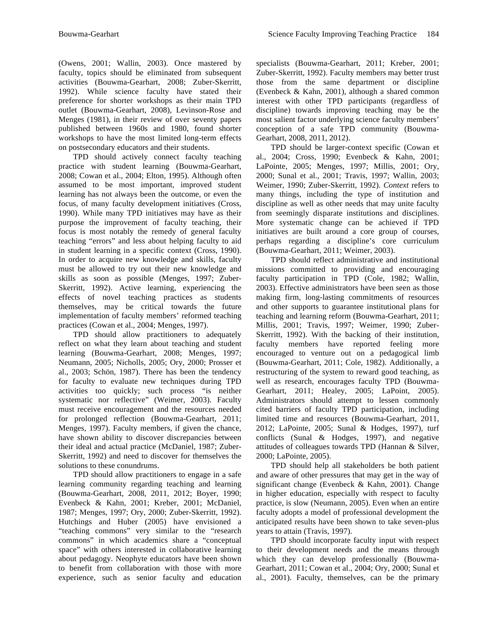(Owens, 2001; Wallin, 2003). Once mastered by faculty, topics should be eliminated from subsequent activities (Bouwma-Gearhart, 2008; Zuber-Skerritt, 1992). While science faculty have stated their preference for shorter workshops as their main TPD outlet (Bouwma-Gearhart, 2008), Levinson-Rose and Menges (1981), in their review of over seventy papers published between 1960s and 1980, found shorter workshops to have the most limited long-term effects on postsecondary educators and their students.

TPD should actively connect faculty teaching practice with student learning (Bouwma-Gearhart, 2008; Cowan et al., 2004; Elton, 1995). Although often assumed to be most important, improved student learning has not always been the outcome, or even the focus, of many faculty development initiatives (Cross, 1990). While many TPD initiatives may have as their purpose the improvement of faculty teaching, their focus is most notably the remedy of general faculty teaching "errors" and less about helping faculty to aid in student learning in a specific context (Cross, 1990). In order to acquire new knowledge and skills, faculty must be allowed to try out their new knowledge and skills as soon as possible (Menges, 1997; Zuber-Skerritt, 1992). Active learning, experiencing the effects of novel teaching practices as students themselves, may be critical towards the future implementation of faculty members' reformed teaching practices (Cowan et al., 2004; Menges, 1997).

TPD should allow practitioners to adequately reflect on what they learn about teaching and student learning (Bouwma-Gearhart, 2008; Menges, 1997; Neumann, 2005; Nicholls, 2005; Ory, 2000; Prosser et al., 2003; Schön, 1987). There has been the tendency for faculty to evaluate new techniques during TPD activities too quickly; such process "is neither systematic nor reflective" (Weimer, 2003). Faculty must receive encouragement and the resources needed for prolonged reflection (Bouwma-Gearhart, 2011; Menges, 1997). Faculty members, if given the chance, have shown ability to discover discrepancies between their ideal and actual practice (McDaniel, 1987; Zuber-Skerritt, 1992) and need to discover for themselves the solutions to these conundrums.

TPD should allow practitioners to engage in a safe learning community regarding teaching and learning (Bouwma-Gearhart, 2008, 2011, 2012; Boyer, 1990; Evenbeck & Kahn, 2001; Kreber, 2001; McDaniel, 1987; Menges, 1997; Ory, 2000; Zuber-Skerritt, 1992). Hutchings and Huber (2005) have envisioned a "teaching commons" very similar to the "research commons" in which academics share a "conceptual space" with others interested in collaborative learning about pedagogy. Neophyte educators have been shown to benefit from collaboration with those with more experience, such as senior faculty and education

specialists (Bouwma-Gearhart, 2011; Kreber, 2001; Zuber-Skerritt, 1992). Faculty members may better trust those from the same department or discipline (Evenbeck & Kahn, 2001), although a shared common interest with other TPD participants (regardless of discipline) towards improving teaching may be the most salient factor underlying science faculty members' conception of a safe TPD community (Bouwma-Gearhart, 2008, 2011, 2012).

TPD should be larger-context specific (Cowan et al., 2004; Cross, 1990; Evenbeck & Kahn, 2001; LaPointe, 2005; Menges, 1997; Millis, 2001; Ory, 2000; Sunal et al., 2001; Travis, 1997; Wallin, 2003; Weimer, 1990; Zuber-Skerritt, 1992). *Context* refers to many things, including the type of institution and discipline as well as other needs that may unite faculty from seemingly disparate institutions and disciplines. More systematic change can be achieved if TPD initiatives are built around a core group of courses, perhaps regarding a discipline's core curriculum (Bouwma-Gearhart, 2011; Weimer, 2003).

TPD should reflect administrative and institutional missions committed to providing and encouraging faculty participation in TPD (Cole, 1982; Wallin, 2003). Effective administrators have been seen as those making firm, long-lasting commitments of resources and other supports to guarantee institutional plans for teaching and learning reform (Bouwma-Gearhart, 2011; Millis, 2001; Travis, 1997; Weimer, 1990; Zuber-Skerritt, 1992). With the backing of their institution, faculty members have reported feeling more encouraged to venture out on a pedagogical limb (Bouwma-Gearhart, 2011; Cole, 1982). Additionally, a restructuring of the system to reward good teaching, as well as research, encourages faculty TPD (Bouwma-Gearhart, 2011; Healey, 2005; LaPoint, 2005). Administrators should attempt to lessen commonly cited barriers of faculty TPD participation, including limited time and resources (Bouwma-Gearhart, 2011, 2012; LaPointe, 2005; Sunal & Hodges, 1997), turf conflicts (Sunal & Hodges, 1997), and negative attitudes of colleagues towards TPD (Hannan & Silver, 2000; LaPointe, 2005).

TPD should help all stakeholders be both patient and aware of other pressures that may get in the way of significant change (Evenbeck & Kahn, 2001). Change in higher education, especially with respect to faculty practice, is slow (Neumann, 2005). Even when an entire faculty adopts a model of professional development the anticipated results have been shown to take seven-plus years to attain (Travis, 1997).

TPD should incorporate faculty input with respect to their development needs and the means through which they can develop professionally (Bouwma-Gearhart, 2011; Cowan et al., 2004; Ory, 2000; Sunal et al., 2001). Faculty, themselves, can be the primary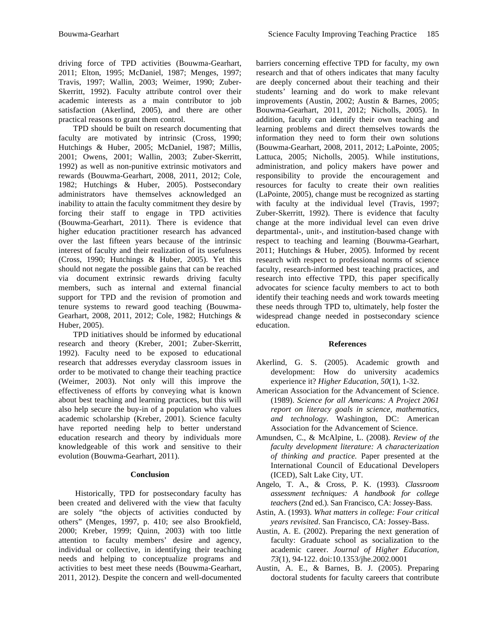driving force of TPD activities (Bouwma-Gearhart, 2011; Elton, 1995; McDaniel, 1987; Menges, 1997; Travis, 1997; Wallin, 2003; Weimer, 1990; Zuber-Skerritt, 1992). Faculty attribute control over their academic interests as a main contributor to job satisfaction (Akerlind, 2005), and there are other practical reasons to grant them control.

TPD should be built on research documenting that faculty are motivated by intrinsic (Cross, 1990; Hutchings & Huber, 2005; McDaniel, 1987; Millis, 2001; Owens, 2001; Wallin, 2003; Zuber-Skerritt, 1992) as well as non-punitive extrinsic motivators and rewards (Bouwma-Gearhart, 2008, 2011, 2012; Cole, 1982; Hutchings & Huber, 2005). Postsecondary administrators have themselves acknowledged an inability to attain the faculty commitment they desire by forcing their staff to engage in TPD activities (Bouwma-Gearhart, 2011). There is evidence that higher education practitioner research has advanced over the last fifteen years because of the intrinsic interest of faculty and their realization of its usefulness (Cross, 1990; Hutchings & Huber, 2005). Yet this should not negate the possible gains that can be reached via document extrinsic rewards driving faculty members, such as internal and external financial support for TPD and the revision of promotion and tenure systems to reward good teaching (Bouwma-Gearhart, 2008, 2011, 2012; Cole, 1982; Hutchings & Huber, 2005).

TPD initiatives should be informed by educational research and theory (Kreber, 2001; Zuber-Skerritt, 1992). Faculty need to be exposed to educational research that addresses everyday classroom issues in order to be motivated to change their teaching practice (Weimer, 2003). Not only will this improve the effectiveness of efforts by conveying what is known about best teaching and learning practices, but this will also help secure the buy-in of a population who values academic scholarship (Kreber, 2001). Science faculty have reported needing help to better understand education research and theory by individuals more knowledgeable of this work and sensitive to their evolution (Bouwma-Gearhart, 2011).

### **Conclusion**

Historically, TPD for postsecondary faculty has been created and delivered with the view that faculty are solely "the objects of activities conducted by others" (Menges, 1997, p. 410; see also Brookfield, 2000; Kreber, 1999; Quinn, 2003) with too little attention to faculty members' desire and agency, individual or collective, in identifying their teaching needs and helping to conceptualize programs and activities to best meet these needs (Bouwma-Gearhart, 2011, 2012). Despite the concern and well-documented barriers concerning effective TPD for faculty, my own research and that of others indicates that many faculty are deeply concerned about their teaching and their students' learning and do work to make relevant improvements (Austin, 2002; Austin & Barnes, 2005; Bouwma-Gearhart, 2011, 2012; Nicholls, 2005). In addition, faculty can identify their own teaching and learning problems and direct themselves towards the information they need to form their own solutions (Bouwma-Gearhart, 2008, 2011, 2012; LaPointe, 2005; Lattuca, 2005; Nicholls, 2005). While institutions, administration, and policy makers have power and responsibility to provide the encouragement and resources for faculty to create their own realities (LaPointe, 2005), change must be recognized as starting with faculty at the individual level (Travis, 1997; Zuber-Skerritt, 1992). There is evidence that faculty change at the more individual level can even drive departmental-, unit-, and institution-based change with respect to teaching and learning (Bouwma-Gearhart, 2011; Hutchings & Huber, 2005). Informed by recent research with respect to professional norms of science faculty, research-informed best teaching practices, and research into effective TPD, this paper specifically advocates for science faculty members to act to both identify their teaching needs and work towards meeting these needs through TPD to, ultimately, help foster the widespread change needed in postsecondary science education.

### **References**

- Akerlind, G. S. (2005). Academic growth and development: How do university academics experience it? *Higher Education*, *50*(1), 1-32.
- American Association for the Advancement of Science. (1989). *Science for all Americans: A Project 2061 report on literacy goals in science, mathematics, and technology.* Washington, DC: American Association for the Advancement of Science.
- Amundsen, C., & McAlpine, L. (2008). *Review of the faculty development literature: A characterization of thinking and practice.* Paper presented at the International Council of Educational Developers (ICED), Salt Lake City, UT.
- Angelo, T. A., & Cross, P. K. (1993). *Classroom assessment techniques: A handbook for college teachers* (2nd ed.). San Francisco, CA: Jossey-Bass.
- Astin, A. (1993). *What matters in college: Four critical years revisited*. San Francisco, CA: Jossey-Bass.
- Austin, A. E. (2002). Preparing the next generation of faculty: Graduate school as socialization to the academic career. *Journal of Higher Education, 73*(1), 94-122. doi:10.1353/jhe.2002.0001
- Austin, A. E., & Barnes, B. J. (2005). Preparing doctoral students for faculty careers that contribute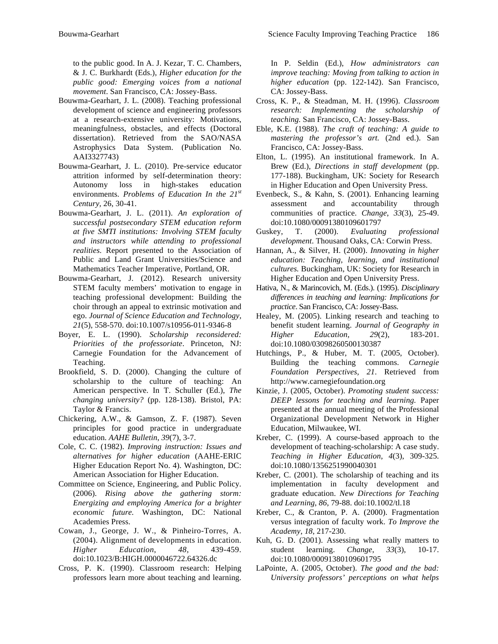to the public good. In A. J. Kezar, T. C. Chambers, & J. C. Burkhardt (Eds.), *Higher education for the public good: Emerging voices from a national movement*. San Francisco, CA: Jossey-Bass.

- Bouwma-Gearhart, J. L. (2008). Teaching professional development of science and engineering professors at a research-extensive university: Motivations, meaningfulness, obstacles, and effects (Doctoral dissertation). Retrieved from the SAO/NASA Astrophysics Data System. (Publication No. AAI3327743)
- Bouwma-Gearhart, J. L. (2010). Pre-service educator attrition informed by self-determination theory: Autonomy loss in high-stakes education environments. *Problems of Education In the 21st Century,* 26, 30-41.
- Bouwma-Gearhart, J. L. (2011). *An exploration of successful postsecondary STEM education reform at five SMTI institutions: Involving STEM faculty and instructors while attending to professional realities.* Report presented to the Association of Public and Land Grant Universities/Science and Mathematics Teacher Imperative, Portland, OR.
- Bouwma-Gearhart, J. (2012). Research university STEM faculty members' motivation to engage in teaching professional development: Building the choir through an appeal to extrinsic motivation and ego. *Journal of Science Education and Technology, 21*(5), 558-570. doi:10.1007/s10956-011-9346-8
- Boyer, E. L. (1990). *Scholarship reconsidered: Priorities of the professoriate*. Princeton, NJ: Carnegie Foundation for the Advancement of Teaching.
- Brookfield, S. D. (2000). Changing the culture of scholarship to the culture of teaching: An American perspective. In T. Schuller (Ed.), *The changing university?* (pp. 128-138). Bristol, PA: Taylor & Francis.
- Chickering, A.W., & Gamson, Z. F. (1987). Seven principles for good practice in undergraduate education. *AAHE Bulletin*, *39*(7), 3-7.
- Cole, C. C. (1982). *Improving instruction: Issues and alternatives for higher education* (AAHE-ERIC Higher Education Report No. 4). Washington, DC: American Association for Higher Education.
- Committee on Science, Engineering, and Public Policy. (2006). *Rising above the gathering storm: Energizing and employing America for a brighter economic future.* Washington, DC: National Academies Press.
- Cowan, J., George, J. W., & Pinheiro-Torres, A. (2004). Alignment of developments in education. *Higher Education*, *48*, 439-459. doi:10.1023/B:HIGH.0000046722.64326.dc
- Cross, P. K. (1990). Classroom research: Helping professors learn more about teaching and learning.

In P. Seldin (Ed.), *How administrators can improve teaching: Moving from talking to action in higher education* (pp. 122-142). San Francisco, CA: Jossey-Bass.

- Cross, K. P., & Steadman, M. H. (1996). *Classroom research: Implementing the scholarship of teaching.* San Francisco, CA: Jossey-Bass.
- Eble, K.E. (1988). *The craft of teaching: A guide to mastering the professor's art.* (2nd ed.). San Francisco, CA: Jossey-Bass.
- Elton, L. (1995). An institutional framework. In A. Brew (Ed.), *Directions in staff development* (pp. 177-188). Buckingham, UK: Society for Research in Higher Education and Open University Press.
- Evenbeck, S., & Kahn, S. (2001). Enhancing learning assessment and accountability through communities of practice. *Change*, *33*(3), 25-49. doi:10.1080/00091380109601797
- Guskey, T. (2000). *Evaluating professional development*. Thousand Oaks, CA: Corwin Press.
- Hannan, A., & Silver, H. (2000). *Innovating in higher education: Teaching, learning, and institutional cultures.* Buckingham, UK: Society for Research in Higher Education and Open University Press.
- Hativa, N., & Marincovich, M. (Eds.). (1995). *Disciplinary differences in teaching and learning: Implications for practice*. San Francisco, CA: Jossey-Bass.
- Healey, M. (2005). Linking research and teaching to benefit student learning. *Journal of Geography in Higher Education, 29*(2), 183-201. doi:10.1080/03098260500130387
- Hutchings, P., & Huber, M. T. (2005, October). Building the teaching commons. *Carnegie Foundation Perspectives, 21*. Retrieved from http://www.carnegiefoundation.org
- Kinzie, J. (2005, October). *Promoting student success: DEEP lessons for teaching and learning.* Paper presented at the annual meeting of the Professional Organizational Development Network in Higher Education, Milwaukee, WI.
- Kreber, C. (1999). A course-based approach to the development of teaching-scholarship: A case study. *Teaching in Higher Education*, *4*(3), 309-325. doi:10.1080/1356251990040301
- Kreber, C. (2001). The scholarship of teaching and its implementation in faculty development and graduate education. *New Directions for Teaching and Learning*, *86*, 79-88. doi:10.1002/tl.18
- Kreber, C., & Cranton, P. A. (2000). Fragmentation versus integration of faculty work. *To Improve the Academy*, *18*, 217-230.
- Kuh, G. D. (2001). Assessing what really matters to student learning. *Change*, *33*(3), 10-17. doi:10.1080/00091380109601795
- LaPointe, A. (2005, October). *The good and the bad: University professors' perceptions on what helps*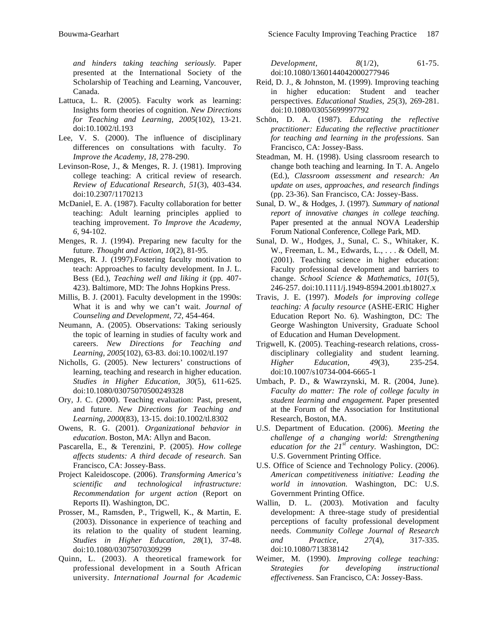*and hinders taking teaching seriously.* Paper presented at the International Society of the Scholarship of Teaching and Learning, Vancouver, Canada.

- Lattuca, L. R. (2005). Faculty work as learning: Insights form theories of cognition. *New Directions for Teaching and Learning, 2005*(102), 13-21. doi:10.1002/tl.193
- Lee, V. S. (2000). The influence of disciplinary differences on consultations with faculty. *To Improve the Academy, 18*, 278-290.
- Levinson-Rose, J., & Menges, R. J. (1981). Improving college teaching: A critical review of research. *Review of Educational Research, 51*(3), 403-434. doi:10.2307/1170213
- McDaniel, E. A. (1987). Faculty collaboration for better teaching: Adult learning principles applied to teaching improvement. *To Improve the Academy, 6*, 94-102.
- Menges, R. J. (1994). Preparing new faculty for the future. *Thought and Action*, *10*(2), 81-95.
- Menges, R. J. (1997).Fostering faculty motivation to teach: Approaches to faculty development. In J. L. Bess (Ed.), *Teaching well and liking it* (pp. 407- 423). Baltimore, MD: The Johns Hopkins Press.
- Millis, B. J. (2001). Faculty development in the 1990s: What it is and why we can't wait. *Journal of Counseling and Development*, *72*, 454-464.
- Neumann, A. (2005). Observations: Taking seriously the topic of learning in studies of faculty work and careers. *New Directions for Teaching and Learning, 2005*(102), 63-83. doi:10.1002/tl.197
- Nicholls, G. (2005). New lecturers' constructions of learning, teaching and research in higher education. *Studies in Higher Education*, *30*(5), 611-625. doi:10.1080/03075070500249328
- Ory, J. C. (2000). Teaching evaluation: Past, present, and future. *New Directions for Teaching and Learning, 2000*(83), 13-15. doi:10.1002/tl.8302
- Owens, R. G. (2001). *Organizational behavior in education*. Boston, MA: Allyn and Bacon.
- Pascarella, E., & Terenzini, P. (2005). *How college affects students: A third decade of research*. San Francisco, CA: Jossey-Bass.
- Project Kaleidoscope. (2006). *Transforming America's scientific and technological infrastructure: Recommendation for urgent action* (Report on Reports II). Washington, DC.
- Prosser, M., Ramsden, P., Trigwell, K., & Martin, E. (2003). Dissonance in experience of teaching and its relation to the quality of student learning. *Studies in Higher Education*, *28*(1), 37-48. doi:10.1080/03075070309299
- Quinn, L. (2003). A theoretical framework for professional development in a South African university. *International Journal for Academic*

*Development, 8*(1/2), 61-75. doi:10.1080/1360144042000277946

- Reid, D. J., & Johnston, M. (1999). Improving teaching in higher education: Student and teacher perspectives. *Educational Studies*, *25*(3), 269-281. doi:10.1080/03055699997792
- Schön, D. A. (1987). *Educating the reflective practitioner: Educating the reflective practitioner for teaching and learning in the professions*. San Francisco, CA: Jossey-Bass.
- Steadman, M. H. (1998). Using classroom research to change both teaching and learning. In T. A. Angelo (Ed.), *Classroom assessment and research: An update on uses, approaches, and research findings* (pp. 23-36). San Francisco, CA: Jossey-Bass.
- Sunal, D. W., & Hodges, J. (1997). *Summary of national report of innovative changes in college teaching*. Paper presented at the annual NOVA Leadership Forum National Conference, College Park, MD.
- Sunal, D. W., Hodges, J., Sunal, C. S., Whitaker, K. W., Freeman, L. M., Edwards, L., . . . & Odell, M. (2001). Teaching science in higher education: Faculty professional development and barriers to change. *School Science & Mathematics, 101*(5), 246-257. doi:10.1111/j.1949-8594.2001.tb18027.x
- Travis, J. E. (1997). *Models for improving college teaching: A faculty resource* (ASHE-ERIC Higher Education Report No. 6). Washington, DC: The George Washington University, Graduate School of Education and Human Development.
- Trigwell, K. (2005). Teaching-research relations, crossdisciplinary collegiality and student learning. *Higher Education*, *49*(3), 235-254. doi:10.1007/s10734-004-6665-1
- Umbach, P. D., & Wawrzynski, M. R. (2004, June). *Faculty do matter: The role of college faculty in student learning and engagement.* Paper presented at the Forum of the Association for Institutional Research, Boston, MA.
- U.S. Department of Education. (2006). *Meeting the challenge of a changing world: Strengthening education for the 21st century.* Washington, DC: U.S. Government Printing Office.
- U.S. Office of Science and Technology Policy. (2006). *American competitiveness initiative: Leading the world in innovation.* Washington, DC: U.S. Government Printing Office.
- Wallin, D. L. (2003). Motivation and faculty development: A three-stage study of presidential perceptions of faculty professional development needs. *Community College Journal of Research and Practice*, *27*(4), 317-335. doi:10.1080/713838142
- Weimer, M. (1990). *Improving college teaching: Strategies for developing instructional effectiveness*. San Francisco, CA: Jossey-Bass.